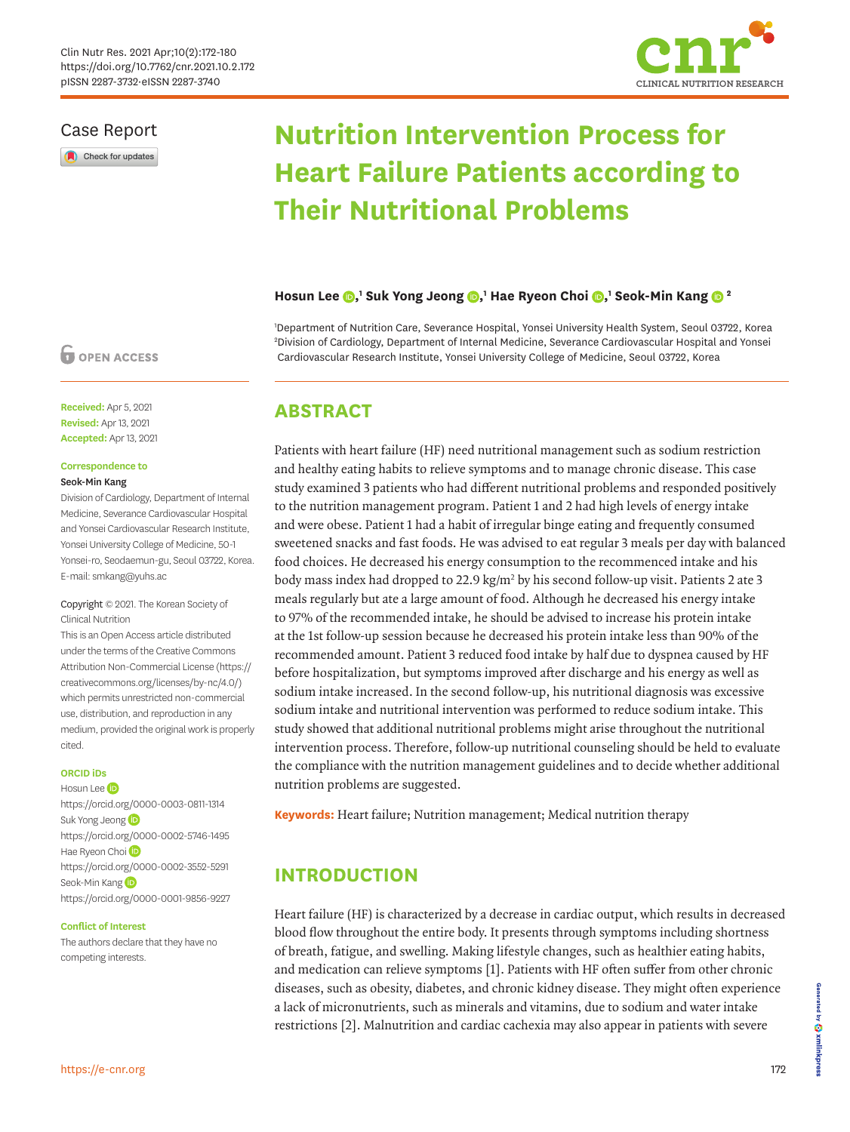

### Case Report

Check for updates

# **Nutrition Intervention Process for Heart Failure Patients according to Their Nutritional Problems**

### **Hosun Lee**  $\bigcirc$ **,' Suk Yong Jeong**  $\bigcirc$ **,' Hae Ryeon Choi**  $\bigcirc$ **,' Seok-Min Kang**  $\bigcirc$  **<sup>2</sup>**

1 Department of Nutrition Care, Severance Hospital, Yonsei University Health System, Seoul 03722, Korea 2 Division of Cardiology, Department of Internal Medicine, Severance Cardiovascular Hospital and Yonsei Cardiovascular Research Institute, Yonsei University College of Medicine, Seoul 03722, Korea

### **ABSTRACT**

Patients with heart failure (HF) need nutritional management such as sodium restriction and healthy eating habits to relieve symptoms and to manage chronic disease. This case study examined 3 patients who had different nutritional problems and responded positively to the nutrition management program. Patient 1 and 2 had high levels of energy intake and were obese. Patient 1 had a habit of irregular binge eating and frequently consumed sweetened snacks and fast foods. He was advised to eat regular 3 meals per day with balanced food choices. He decreased his energy consumption to the recommenced intake and his body mass index had dropped to 22.9 kg/m<sup>2</sup> by his second follow-up visit. Patients 2 ate 3 meals regularly but ate a large amount of food. Although he decreased his energy intake to 97% of the recommended intake, he should be advised to increase his protein intake at the 1st follow-up session because he decreased his protein intake less than 90% of the recommended amount. Patient 3 reduced food intake by half due to dyspnea caused by HF before hospitalization, but symptoms improved after discharge and his energy as well as sodium intake increased. In the second follow-up, his nutritional diagnosis was excessive sodium intake and nutritional intervention was performed to reduce sodium intake. This study showed that additional nutritional problems might arise throughout the nutritional intervention process. Therefore, follow-up nutritional counseling should be held to evaluate the compliance with the nutrition management guidelines and to decide whether additional nutrition problems are suggested.

**Keywords:** Heart failure; Nutrition management; Medical nutrition therapy

## **INTRODUCTION**

<span id="page-0-1"></span><span id="page-0-0"></span>Heart failure (HF) is characterized by a decrease in cardiac output, which results in decreased blood flow throughout the entire body. It presents through symptoms including shortness of breath, fatigue, and swelling. Making lifestyle changes, such as healthier eating habits, and medication can relieve symptoms [[1](#page-7-0)]. Patients with HF often suffer from other chronic diseases, such as obesity, diabetes, and chronic kidney disease. They might often experience a lack of micronutrients, such as minerals and vitamins, due to sodium and water intake restrictions [\[2\]](#page-7-1). Malnutrition and cardiac cachexia may also appear in patients with severe

### **OPEN ACCESS**

**Received:** Apr 5, 2021 **Revised:** Apr 13, 2021 **Accepted:** Apr 13, 2021

#### **Correspondence to** Seok-Min Kang

Division of Cardiology, Department of Internal Medicine, Severance Cardiovascular Hospital and Yonsei Cardiovascular Research Institute, Yonsei University College of Medicine, 50-1 Yonsei-ro, Seodaemun-gu, Seoul 03722, Korea. E-mail: smkang@yuhs.ac

### Copyright © 2021. The Korean Society of Clinical Nutrition

This is an Open Access article distributed under the terms of the Creative Commons Attribution Non-Commercial License [\(https://](https://creativecommons.org/licenses/by-nc/4.0/) [creativecommons.org/licenses/by-nc/4.0/](https://creativecommons.org/licenses/by-nc/4.0/)) which permits unrestricted non-commercial use, distribution, and reproduction in any medium, provided the original work is properly cited.

### **ORCID iDs**

HosunLee **D** <https://orcid.org/0000-0003-0811-1314> Suk Yong Jeong<sup>D</sup> <https://orcid.org/0000-0002-5746-1495> HaeRyeon Choi<sup>D</sup> <https://orcid.org/0000-0002-3552-5291> Seok-MinKang <https://orcid.org/0000-0001-9856-9227>

#### **Conflict of Interest**

The authors declare that they have no competing interests.

Generated by 5. Xmlinkpress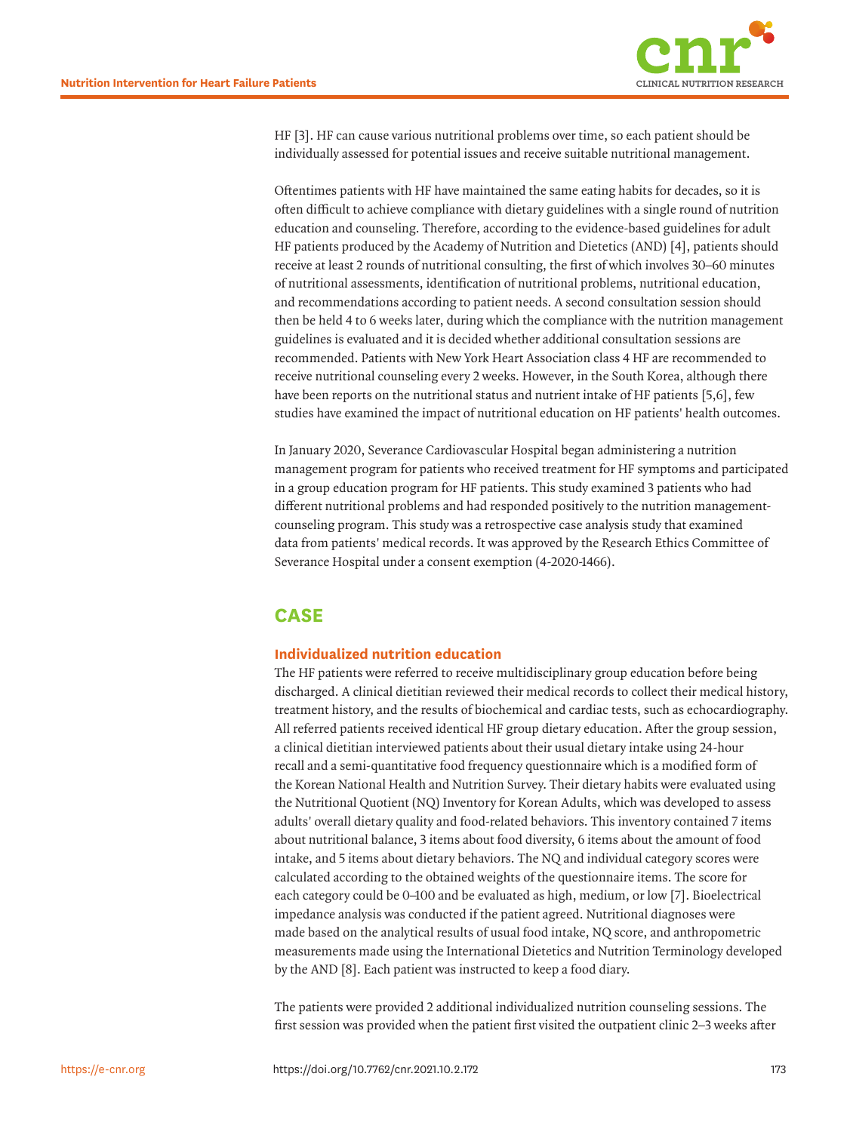

<span id="page-1-0"></span>HF [\[3\]](#page-7-2). HF can cause various nutritional problems over time, so each patient should be individually assessed for potential issues and receive suitable nutritional management.

Oftentimes patients with HF have maintained the same eating habits for decades, so it is often difficult to achieve compliance with dietary guidelines with a single round of nutrition education and counseling. Therefore, according to the evidence-based guidelines for adult HF patients produced by the Academy of Nutrition and Dietetics (AND) [[4\]](#page-7-3), patients should receive at least 2 rounds of nutritional consulting, the first of which involves 30–60 minutes of nutritional assessments, identification of nutritional problems, nutritional education, and recommendations according to patient needs. A second consultation session should then be held 4 to 6 weeks later, during which the compliance with the nutrition management guidelines is evaluated and it is decided whether additional consultation sessions are recommended. Patients with New York Heart Association class 4 HF are recommended to receive nutritional counseling every 2 weeks. However, in the South Korea, although there have been reports on the nutritional status and nutrient intake of HF patients [[5](#page-7-4)[,6\]](#page-7-5), few studies have examined the impact of nutritional education on HF patients' health outcomes.

<span id="page-1-1"></span>In January 2020, Severance Cardiovascular Hospital began administering a nutrition management program for patients who received treatment for HF symptoms and participated in a group education program for HF patients. This study examined 3 patients who had different nutritional problems and had responded positively to the nutrition managementcounseling program. This study was a retrospective case analysis study that examined data from patients' medical records. It was approved by the Research Ethics Committee of Severance Hospital under a consent exemption (4-2020-1466).

## **CASE**

### **Individualized nutrition education**

The HF patients were referred to receive multidisciplinary group education before being discharged. A clinical dietitian reviewed their medical records to collect their medical history, treatment history, and the results of biochemical and cardiac tests, such as echocardiography. All referred patients received identical HF group dietary education. After the group session, a clinical dietitian interviewed patients about their usual dietary intake using 24-hour recall and a semi-quantitative food frequency questionnaire which is a modified form of the Korean National Health and Nutrition Survey. Their dietary habits were evaluated using the Nutritional Quotient (NQ) Inventory for Korean Adults, which was developed to assess adults' overall dietary quality and food-related behaviors. This inventory contained 7 items about nutritional balance, 3 items about food diversity, 6 items about the amount of food intake, and 5 items about dietary behaviors. The NQ and individual category scores were calculated according to the obtained weights of the questionnaire items. The score for each category could be 0–100 and be evaluated as high, medium, or low [[7](#page-7-6)]. Bioelectrical impedance analysis was conducted if the patient agreed. Nutritional diagnoses were made based on the analytical results of usual food intake, NQ score, and anthropometric measurements made using the International Dietetics and Nutrition Terminology developed by the AND [\[8\]](#page-8-0). Each patient was instructed to keep a food diary.

<span id="page-1-3"></span><span id="page-1-2"></span>The patients were provided 2 additional individualized nutrition counseling sessions. The first session was provided when the patient first visited the outpatient clinic 2–3 weeks after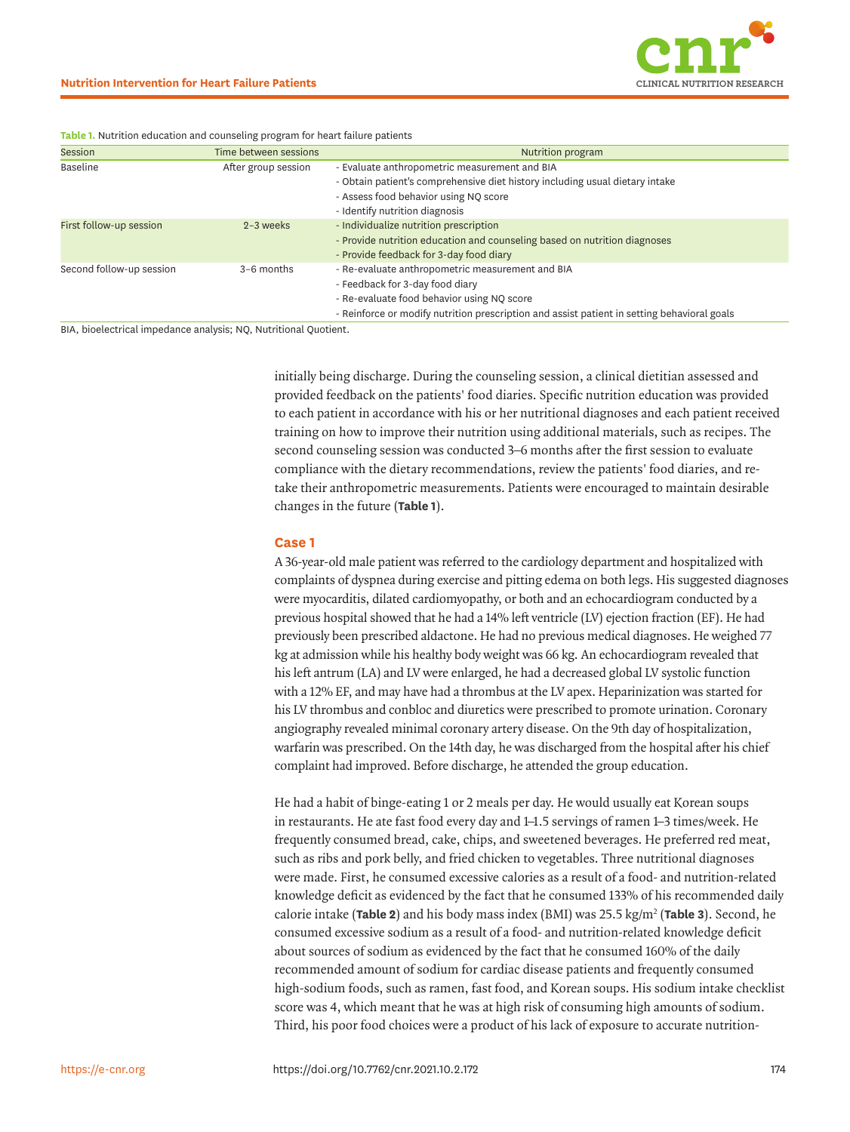

| Session                  | Time between sessions | Nutrition program                                                                           |
|--------------------------|-----------------------|---------------------------------------------------------------------------------------------|
| Baseline                 | After group session   | - Evaluate anthropometric measurement and BIA                                               |
|                          |                       | - Obtain patient's comprehensive diet history including usual dietary intake                |
|                          |                       | - Assess food behavior using NQ score                                                       |
|                          |                       | - Identify nutrition diagnosis                                                              |
| First follow-up session  | $2-3$ weeks           | - Individualize nutrition prescription                                                      |
|                          |                       | - Provide nutrition education and counseling based on nutrition diagnoses                   |
|                          |                       | - Provide feedback for 3-day food diary                                                     |
| Second follow-up session | $3-6$ months          | - Re-evaluate anthropometric measurement and BIA                                            |
|                          |                       | - Feedback for 3-day food diary                                                             |
|                          |                       | - Re-evaluate food behavior using NQ score                                                  |
|                          |                       | - Reinforce or modify nutrition prescription and assist patient in setting behavioral goals |
|                          |                       |                                                                                             |

<span id="page-2-0"></span>**Table 1.** Nutrition education and counseling program for heart failure patients

BIA, bioelectrical impedance analysis; NQ, Nutritional Quotient.

initially being discharge. During the counseling session, a clinical dietitian assessed and provided feedback on the patients' food diaries. Specific nutrition education was provided to each patient in accordance with his or her nutritional diagnoses and each patient received training on how to improve their nutrition using additional materials, such as recipes. The second counseling session was conducted 3–6 months after the first session to evaluate compliance with the dietary recommendations, review the patients' food diaries, and retake their anthropometric measurements. Patients were encouraged to maintain desirable changes in the future (**[Table 1](#page-2-0)**).

#### **Case 1**

A 36-year-old male patient was referred to the cardiology department and hospitalized with complaints of dyspnea during exercise and pitting edema on both legs. His suggested diagnoses were myocarditis, dilated cardiomyopathy, or both and an echocardiogram conducted by a previous hospital showed that he had a 14% left ventricle (LV) ejection fraction (EF). He had previously been prescribed aldactone. He had no previous medical diagnoses. He weighed 77 kg at admission while his healthy body weight was 66 kg. An echocardiogram revealed that his left antrum (LA) and LV were enlarged, he had a decreased global LV systolic function with a 12% EF, and may have had a thrombus at the LV apex. Heparinization was started for his LV thrombus and conbloc and diuretics were prescribed to promote urination. Coronary angiography revealed minimal coronary artery disease. On the 9th day of hospitalization, warfarin was prescribed. On the 14th day, he was discharged from the hospital after his chief complaint had improved. Before discharge, he attended the group education.

He had a habit of binge-eating 1 or 2 meals per day. He would usually eat Korean soups in restaurants. He ate fast food every day and 1–1.5 servings of ramen 1–3 times/week. He frequently consumed bread, cake, chips, and sweetened beverages. He preferred red meat, such as ribs and pork belly, and fried chicken to vegetables. Three nutritional diagnoses were made. First, he consumed excessive calories as a result of a food- and nutrition-related knowledge deficit as evidenced by the fact that he consumed 133% of his recommended daily calorie intake (**[Table 2](#page-3-0)**) and his body mass index (BMI) was 25.5 kg/m2 (**[Table 3](#page-3-1)**). Second, he consumed excessive sodium as a result of a food- and nutrition-related knowledge deficit about sources of sodium as evidenced by the fact that he consumed 160% of the daily recommended amount of sodium for cardiac disease patients and frequently consumed high-sodium foods, such as ramen, fast food, and Korean soups. His sodium intake checklist score was 4, which meant that he was at high risk of consuming high amounts of sodium. Third, his poor food choices were a product of his lack of exposure to accurate nutrition-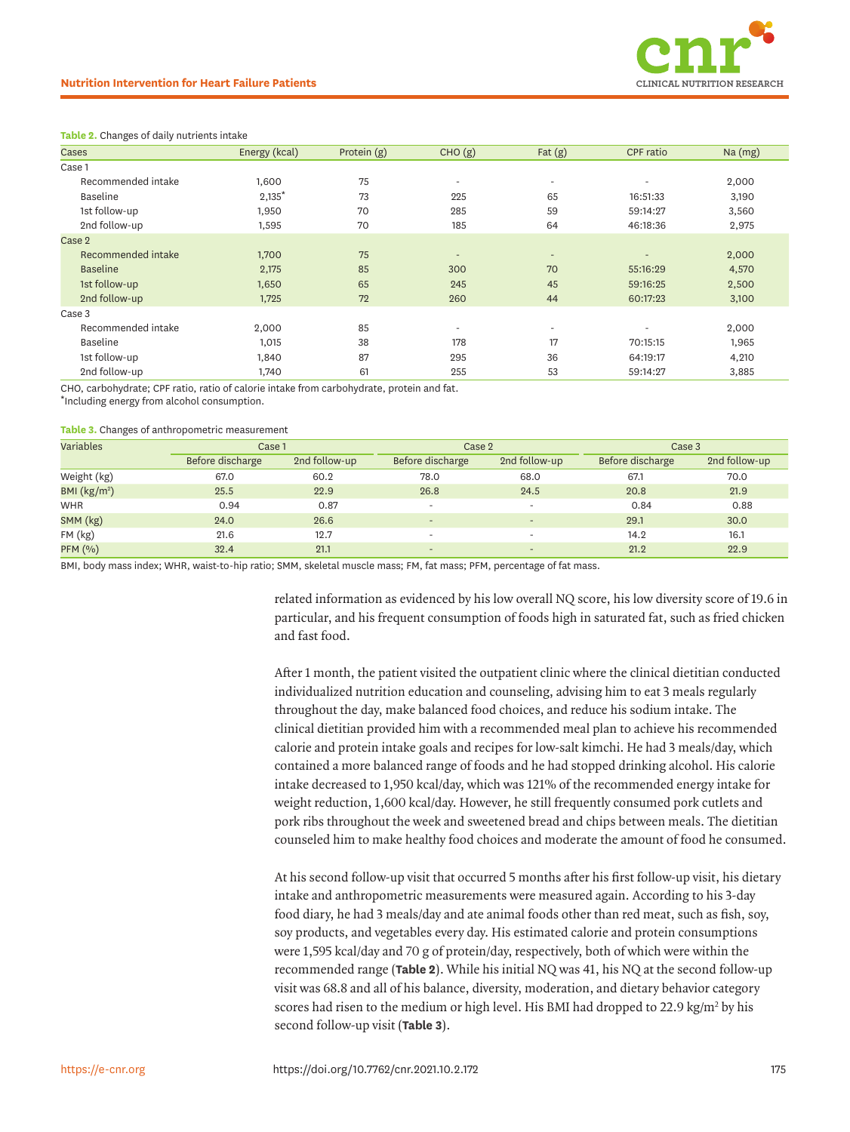

#### <span id="page-3-0"></span>**Table 2.** Changes of daily nutrients intake

| Cases              | Energy (kcal) | Protein (g) | CHO(g)                   | Fat $(g)$                | CPF ratio                | $Na$ (mg) |
|--------------------|---------------|-------------|--------------------------|--------------------------|--------------------------|-----------|
| Case 1             |               |             |                          |                          |                          |           |
| Recommended intake | 1.600         | 75          | $\overline{\phantom{a}}$ | $\overline{\phantom{a}}$ | $\overline{\phantom{a}}$ | 2,000     |
| Baseline           | $2,135*$      | 73          | 225                      | 65                       | 16:51:33                 | 3,190     |
| 1st follow-up      | 1,950         | 70          | 285                      | 59                       | 59:14:27                 | 3,560     |
| 2nd follow-up      | 1,595         | 70          | 185                      | 64                       | 46:18:36                 | 2,975     |
| Case 2             |               |             |                          |                          |                          |           |
| Recommended intake | 1,700         | 75          | $\overline{\phantom{m}}$ | $\overline{\phantom{a}}$ | $\overline{\phantom{m}}$ | 2,000     |
| <b>Baseline</b>    | 2,175         | 85          | 300                      | 70                       | 55:16:29                 | 4,570     |
| 1st follow-up      | 1,650         | 65          | 245                      | 45                       | 59:16:25                 | 2,500     |
| 2nd follow-up      | 1,725         | 72          | 260                      | 44                       | 60:17:23                 | 3,100     |
| Case 3             |               |             |                          |                          |                          |           |
| Recommended intake | 2,000         | 85          | $\overline{\phantom{a}}$ | $\overline{\phantom{a}}$ |                          | 2,000     |
| Baseline           | 1,015         | 38          | 178                      | 17                       | 70:15:15                 | 1,965     |
| 1st follow-up      | 1,840         | 87          | 295                      | 36                       | 64:19:17                 | 4,210     |
| 2nd follow-up      | 1,740         | 61          | 255                      | 53                       | 59:14:27                 | 3,885     |

CHO, carbohydrate; CPF ratio, ratio of calorie intake from carbohydrate, protein and fat.

\*Including energy from alcohol consumption.

#### <span id="page-3-1"></span>**Table 3.** Changes of anthropometric measurement

| Variables     | Case 1           |               | Case 2                   |                              | Case 3           |               |
|---------------|------------------|---------------|--------------------------|------------------------------|------------------|---------------|
|               | Before discharge | 2nd follow-up | Before discharge         | 2nd follow-up                | Before discharge | 2nd follow-up |
| Weight (kg)   | 67.0             | 60.2          | 78.0                     | 68.0                         | 67.1             | 70.0          |
| BMI $(kg/m2)$ | 25.5             | 22.9          | 26.8                     | 24.5                         | 20.8             | 21.9          |
| <b>WHR</b>    | 0.94             | 0.87          |                          | $\overline{\phantom{a}}$     | 0.84             | 0.88          |
| SMM (kg)      | 24.0             | 26.6          | $\overline{\phantom{a}}$ | $\qquad \qquad \blacksquare$ | 29.1             | 30.0          |
| FM (kg)       | 21.6             | 12.7          |                          | $\overline{\phantom{a}}$     | 14.2             | 16.1          |
| PFM (%)       | 32.4             | 21.1          | $\overline{\phantom{a}}$ | $\qquad \qquad \blacksquare$ | 21.2             | 22.9          |

BMI, body mass index; WHR, waist-to-hip ratio; SMM, skeletal muscle mass; FM, fat mass; PFM, percentage of fat mass.

related information as evidenced by his low overall NQ score, his low diversity score of 19.6 in particular, and his frequent consumption of foods high in saturated fat, such as fried chicken and fast food.

After 1 month, the patient visited the outpatient clinic where the clinical dietitian conducted individualized nutrition education and counseling, advising him to eat 3 meals regularly throughout the day, make balanced food choices, and reduce his sodium intake. The clinical dietitian provided him with a recommended meal plan to achieve his recommended calorie and protein intake goals and recipes for low-salt kimchi. He had 3 meals/day, which contained a more balanced range of foods and he had stopped drinking alcohol. His calorie intake decreased to 1,950 kcal/day, which was 121% of the recommended energy intake for weight reduction, 1,600 kcal/day. However, he still frequently consumed pork cutlets and pork ribs throughout the week and sweetened bread and chips between meals. The dietitian counseled him to make healthy food choices and moderate the amount of food he consumed.

At his second follow-up visit that occurred 5 months after his first follow-up visit, his dietary intake and anthropometric measurements were measured again. According to his 3-day food diary, he had 3 meals/day and ate animal foods other than red meat, such as fish, soy, soy products, and vegetables every day. His estimated calorie and protein consumptions were 1,595 kcal/day and 70 g of protein/day, respectively, both of which were within the recommended range (**[Table 2](#page-3-0)**). While his initial NQ was 41, his NQ at the second follow-up visit was 68.8 and all of his balance, diversity, moderation, and dietary behavior category scores had risen to the medium or high level. His BMI had dropped to 22.9 kg/m<sup>2</sup> by his second follow-up visit (**[Table 3](#page-3-1)**).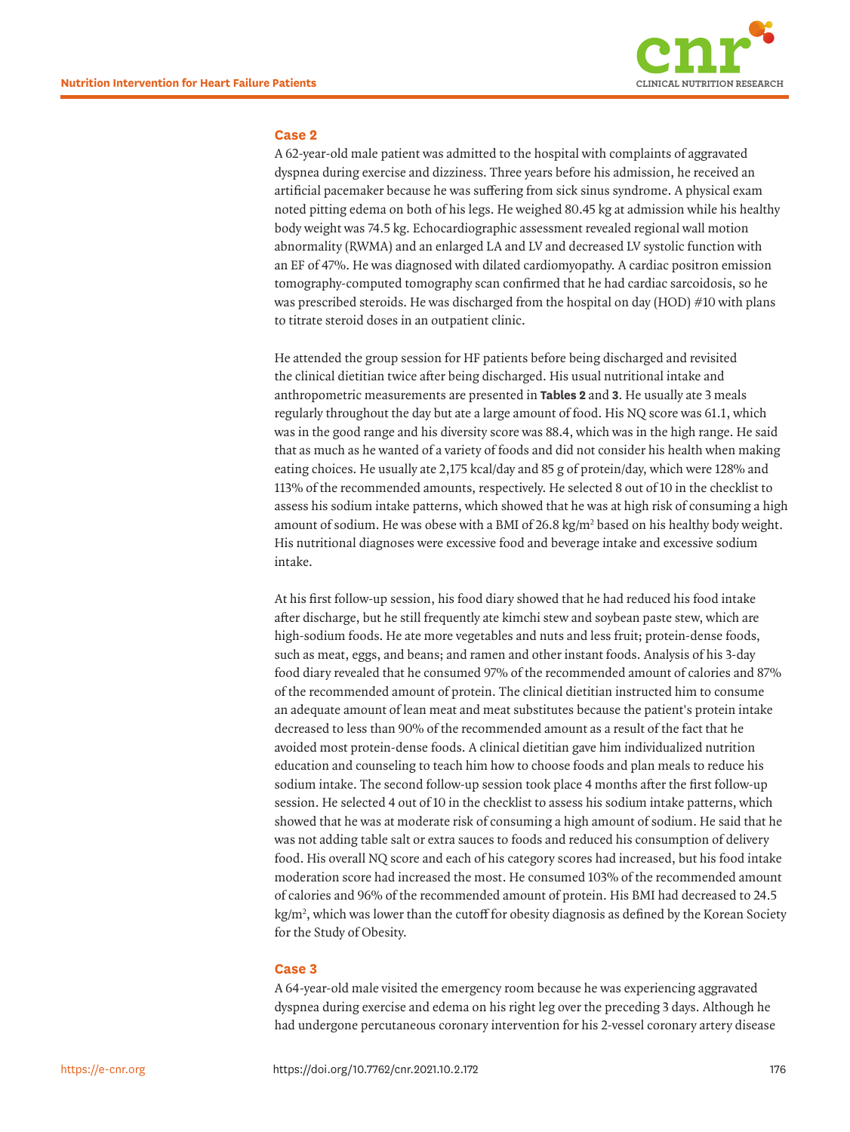

### **Case 2**

A 62-year-old male patient was admitted to the hospital with complaints of aggravated dyspnea during exercise and dizziness. Three years before his admission, he received an artificial pacemaker because he was suffering from sick sinus syndrome. A physical exam noted pitting edema on both of his legs. He weighed 80.45 kg at admission while his healthy body weight was 74.5 kg. Echocardiographic assessment revealed regional wall motion abnormality (RWMA) and an enlarged LA and LV and decreased LV systolic function with an EF of 47%. He was diagnosed with dilated cardiomyopathy. A cardiac positron emission tomography-computed tomography scan confirmed that he had cardiac sarcoidosis, so he was prescribed steroids. He was discharged from the hospital on day (HOD) #10 with plans to titrate steroid doses in an outpatient clinic.

He attended the group session for HF patients before being discharged and revisited the clinical dietitian twice after being discharged. His usual nutritional intake and anthropometric measurements are presented in **[Tables 2](#page-3-0)** and **3**. He usually ate 3 meals regularly throughout the day but ate a large amount of food. His NQ score was 61.1, which was in the good range and his diversity score was 88.4, which was in the high range. He said that as much as he wanted of a variety of foods and did not consider his health when making eating choices. He usually ate 2,175 kcal/day and 85 g of protein/day, which were 128% and 113% of the recommended amounts, respectively. He selected 8 out of 10 in the checklist to assess his sodium intake patterns, which showed that he was at high risk of consuming a high amount of sodium. He was obese with a BMI of  $26.8 \text{ kg/m}^2$  based on his healthy body weight. His nutritional diagnoses were excessive food and beverage intake and excessive sodium intake.

At his first follow-up session, his food diary showed that he had reduced his food intake after discharge, but he still frequently ate kimchi stew and soybean paste stew, which are high-sodium foods. He ate more vegetables and nuts and less fruit; protein-dense foods, such as meat, eggs, and beans; and ramen and other instant foods. Analysis of his 3-day food diary revealed that he consumed 97% of the recommended amount of calories and 87% of the recommended amount of protein. The clinical dietitian instructed him to consume an adequate amount of lean meat and meat substitutes because the patient's protein intake decreased to less than 90% of the recommended amount as a result of the fact that he avoided most protein-dense foods. A clinical dietitian gave him individualized nutrition education and counseling to teach him how to choose foods and plan meals to reduce his sodium intake. The second follow-up session took place 4 months after the first follow-up session. He selected 4 out of 10 in the checklist to assess his sodium intake patterns, which showed that he was at moderate risk of consuming a high amount of sodium. He said that he was not adding table salt or extra sauces to foods and reduced his consumption of delivery food. His overall NQ score and each of his category scores had increased, but his food intake moderation score had increased the most. He consumed 103% of the recommended amount of calories and 96% of the recommended amount of protein. His BMI had decreased to 24.5 kg/m2 , which was lower than the cutoff for obesity diagnosis as defined by the Korean Society for the Study of Obesity.

#### **Case 3**

A 64-year-old male visited the emergency room because he was experiencing aggravated dyspnea during exercise and edema on his right leg over the preceding 3 days. Although he had undergone percutaneous coronary intervention for his 2-vessel coronary artery disease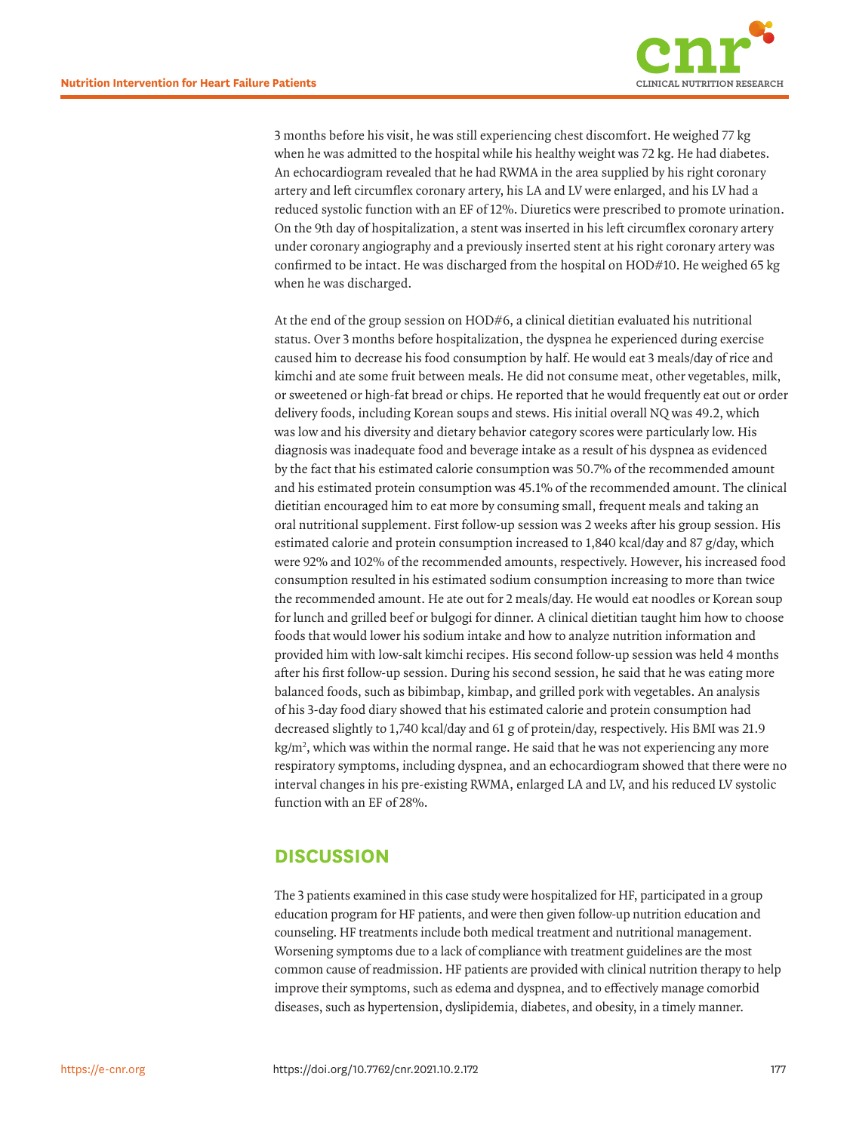

3 months before his visit, he was still experiencing chest discomfort. He weighed 77 kg when he was admitted to the hospital while his healthy weight was 72 kg. He had diabetes. An echocardiogram revealed that he had RWMA in the area supplied by his right coronary artery and left circumflex coronary artery, his LA and LV were enlarged, and his LV had a reduced systolic function with an EF of 12%. Diuretics were prescribed to promote urination. On the 9th day of hospitalization, a stent was inserted in his left circumflex coronary artery under coronary angiography and a previously inserted stent at his right coronary artery was confirmed to be intact. He was discharged from the hospital on HOD#10. He weighed 65 kg when he was discharged.

At the end of the group session on HOD#6, a clinical dietitian evaluated his nutritional status. Over 3 months before hospitalization, the dyspnea he experienced during exercise caused him to decrease his food consumption by half. He would eat 3 meals/day of rice and kimchi and ate some fruit between meals. He did not consume meat, other vegetables, milk, or sweetened or high-fat bread or chips. He reported that he would frequently eat out or order delivery foods, including Korean soups and stews. His initial overall NQ was 49.2, which was low and his diversity and dietary behavior category scores were particularly low. His diagnosis was inadequate food and beverage intake as a result of his dyspnea as evidenced by the fact that his estimated calorie consumption was 50.7% of the recommended amount and his estimated protein consumption was 45.1% of the recommended amount. The clinical dietitian encouraged him to eat more by consuming small, frequent meals and taking an oral nutritional supplement. First follow-up session was 2 weeks after his group session. His estimated calorie and protein consumption increased to 1,840 kcal/day and 87 g/day, which were 92% and 102% of the recommended amounts, respectively. However, his increased food consumption resulted in his estimated sodium consumption increasing to more than twice the recommended amount. He ate out for 2 meals/day. He would eat noodles or Korean soup for lunch and grilled beef or bulgogi for dinner. A clinical dietitian taught him how to choose foods that would lower his sodium intake and how to analyze nutrition information and provided him with low-salt kimchi recipes. His second follow-up session was held 4 months after his first follow-up session. During his second session, he said that he was eating more balanced foods, such as bibimbap, kimbap, and grilled pork with vegetables. An analysis of his 3-day food diary showed that his estimated calorie and protein consumption had decreased slightly to 1,740 kcal/day and 61 g of protein/day, respectively. His BMI was 21.9 kg/m2 , which was within the normal range. He said that he was not experiencing any more respiratory symptoms, including dyspnea, and an echocardiogram showed that there were no interval changes in his pre-existing RWMA, enlarged LA and LV, and his reduced LV systolic function with an EF of 28%.

### **DISCUSSION**

The 3 patients examined in this case study were hospitalized for HF, participated in a group education program for HF patients, and were then given follow-up nutrition education and counseling. HF treatments include both medical treatment and nutritional management. Worsening symptoms due to a lack of compliance with treatment guidelines are the most common cause of readmission. HF patients are provided with clinical nutrition therapy to help improve their symptoms, such as edema and dyspnea, and to effectively manage comorbid diseases, such as hypertension, dyslipidemia, diabetes, and obesity, in a timely manner.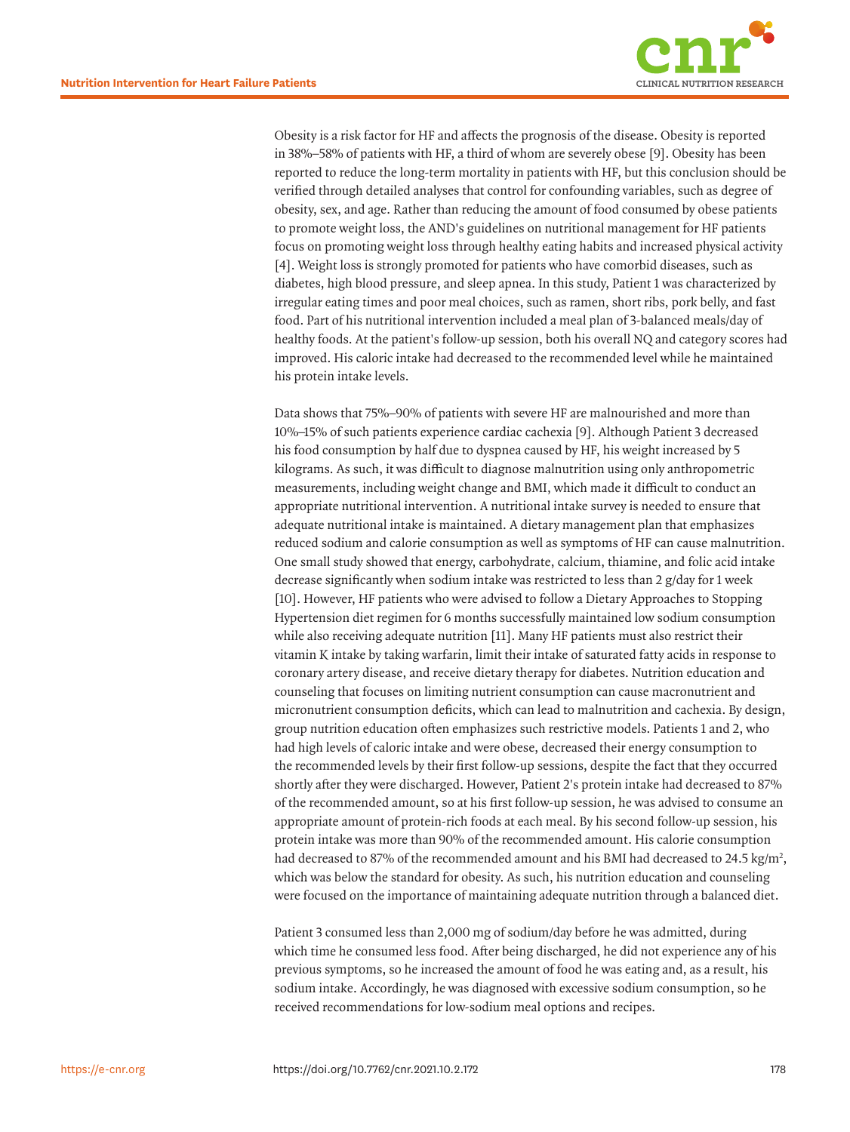

<span id="page-6-0"></span>Obesity is a risk factor for HF and affects the prognosis of the disease. Obesity is reported in 38%–58% of patients with HF, a third of whom are severely obese [\[9\]](#page-8-1). Obesity has been reported to reduce the long-term mortality in patients with HF, but this conclusion should be verified through detailed analyses that control for confounding variables, such as degree of obesity, sex, and age. Rather than reducing the amount of food consumed by obese patients to promote weight loss, the AND's guidelines on nutritional management for HF patients focus on promoting weight loss through healthy eating habits and increased physical activity [[4\]](#page-7-3). Weight loss is strongly promoted for patients who have comorbid diseases, such as diabetes, high blood pressure, and sleep apnea. In this study, Patient 1 was characterized by irregular eating times and poor meal choices, such as ramen, short ribs, pork belly, and fast food. Part of his nutritional intervention included a meal plan of 3-balanced meals/day of healthy foods. At the patient's follow-up session, both his overall NQ and category scores had improved. His caloric intake had decreased to the recommended level while he maintained his protein intake levels.

<span id="page-6-3"></span><span id="page-6-2"></span><span id="page-6-1"></span>Data shows that 75%–90% of patients with severe HF are malnourished and more than 10%–15% of such patients experience cardiac cachexia [\[9](#page-8-1)]. Although Patient 3 decreased his food consumption by half due to dyspnea caused by HF, his weight increased by 5 kilograms. As such, it was difficult to diagnose malnutrition using only anthropometric measurements, including weight change and BMI, which made it difficult to conduct an appropriate nutritional intervention. A nutritional intake survey is needed to ensure that adequate nutritional intake is maintained. A dietary management plan that emphasizes reduced sodium and calorie consumption as well as symptoms of HF can cause malnutrition. One small study showed that energy, carbohydrate, calcium, thiamine, and folic acid intake decrease significantly when sodium intake was restricted to less than 2 g/day for 1 week [[10\]](#page-8-2). However, HF patients who were advised to follow a Dietary Approaches to Stopping Hypertension diet regimen for 6 months successfully maintained low sodium consumption while also receiving adequate nutrition [\[11](#page-8-3)]. Many HF patients must also restrict their vitamin K intake by taking warfarin, limit their intake of saturated fatty acids in response to coronary artery disease, and receive dietary therapy for diabetes. Nutrition education and counseling that focuses on limiting nutrient consumption can cause macronutrient and micronutrient consumption deficits, which can lead to malnutrition and cachexia. By design, group nutrition education often emphasizes such restrictive models. Patients 1 and 2, who had high levels of caloric intake and were obese, decreased their energy consumption to the recommended levels by their first follow-up sessions, despite the fact that they occurred shortly after they were discharged. However, Patient 2's protein intake had decreased to 87% of the recommended amount, so at his first follow-up session, he was advised to consume an appropriate amount of protein-rich foods at each meal. By his second follow-up session, his protein intake was more than 90% of the recommended amount. His calorie consumption had decreased to 87% of the recommended amount and his BMI had decreased to 24.5 kg/m<sup>2</sup>, which was below the standard for obesity. As such, his nutrition education and counseling were focused on the importance of maintaining adequate nutrition through a balanced diet.

Patient 3 consumed less than 2,000 mg of sodium/day before he was admitted, during which time he consumed less food. After being discharged, he did not experience any of his previous symptoms, so he increased the amount of food he was eating and, as a result, his sodium intake. Accordingly, he was diagnosed with excessive sodium consumption, so he received recommendations for low-sodium meal options and recipes.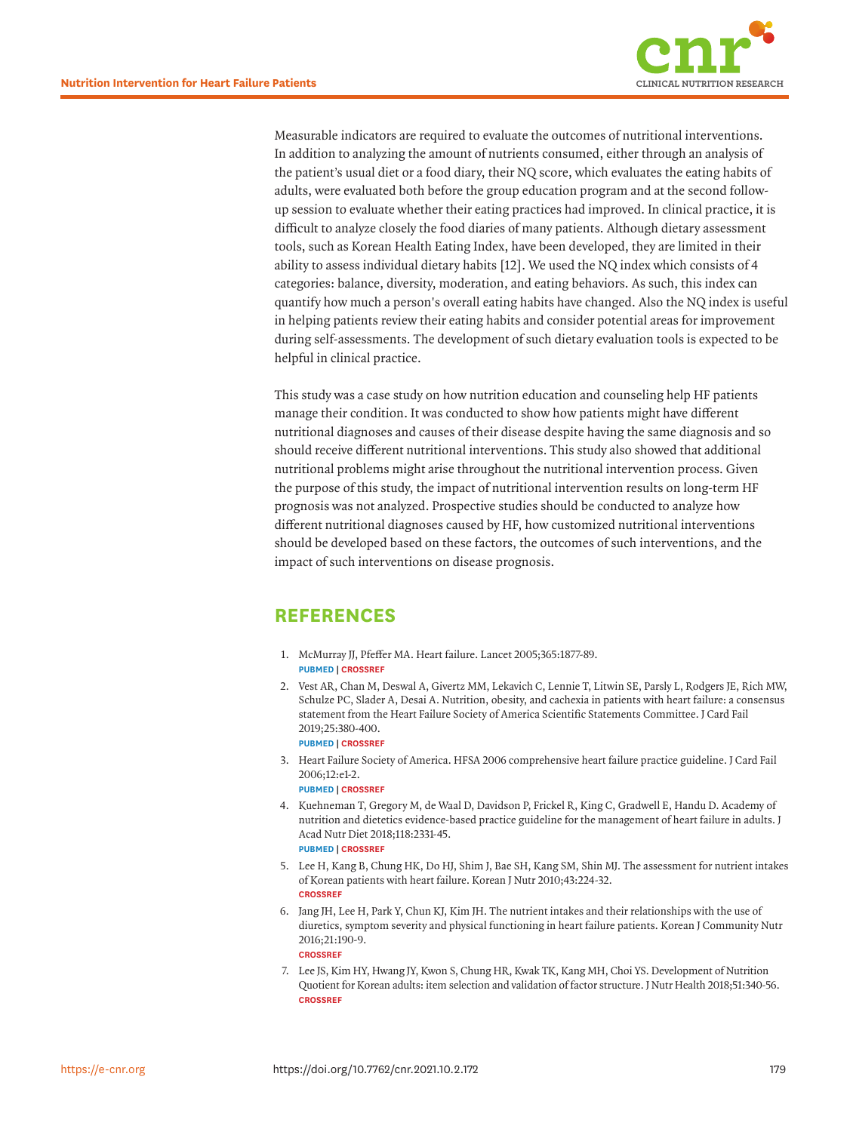

<span id="page-7-7"></span>Measurable indicators are required to evaluate the outcomes of nutritional interventions. In addition to analyzing the amount of nutrients consumed, either through an analysis of the patient's usual diet or a food diary, their NQ score, which evaluates the eating habits of adults, were evaluated both before the group education program and at the second followup session to evaluate whether their eating practices had improved. In clinical practice, it is difficult to analyze closely the food diaries of many patients. Although dietary assessment tools, such as Korean Health Eating Index, have been developed, they are limited in their ability to assess individual dietary habits [[12](#page-8-4)]. We used the NQ index which consists of 4 categories: balance, diversity, moderation, and eating behaviors. As such, this index can quantify how much a person's overall eating habits have changed. Also the NQ index is useful in helping patients review their eating habits and consider potential areas for improvement during self-assessments. The development of such dietary evaluation tools is expected to be helpful in clinical practice.

This study was a case study on how nutrition education and counseling help HF patients manage their condition. It was conducted to show how patients might have different nutritional diagnoses and causes of their disease despite having the same diagnosis and so should receive different nutritional interventions. This study also showed that additional nutritional problems might arise throughout the nutritional intervention process. Given the purpose of this study, the impact of nutritional intervention results on long-term HF prognosis was not analyzed. Prospective studies should be conducted to analyze how different nutritional diagnoses caused by HF, how customized nutritional interventions should be developed based on these factors, the outcomes of such interventions, and the impact of such interventions on disease prognosis.

## **REFERENCES**

- <span id="page-7-0"></span>[1.](#page-0-0) McMurray JJ, Pfeffer MA. Heart failure. Lancet 2005;365:1877-89. **[PUBMED](http://www.ncbi.nlm.nih.gov/pubmed/15924986) | [CROSSREF](https://doi.org/10.1016/S0140-6736(05)66621-4)**
- <span id="page-7-1"></span>[2.](#page-0-1) Vest AR, Chan M, Deswal A, Givertz MM, Lekavich C, Lennie T, Litwin SE, Parsly L, Rodgers JE, Rich MW, Schulze PC, Slader A, Desai A. Nutrition, obesity, and cachexia in patients with heart failure: a consensus statement from the Heart Failure Society of America Scientific Statements Committee. J Card Fail 2019;25:380-400. **[PUBMED](http://www.ncbi.nlm.nih.gov/pubmed/30877038) | [CROSSREF](https://doi.org/10.1016/j.cardfail.2019.03.007)**
- <span id="page-7-2"></span>[3.](#page-1-0) Heart Failure Society of America. HFSA 2006 comprehensive heart failure practice guideline. J Card Fail 2006;12:e1-2.

**[PUBMED](http://www.ncbi.nlm.nih.gov/pubmed/16500560) | [CROSSREF](https://doi.org/10.1016/j.cardfail.2005.11.005)**

- <span id="page-7-3"></span>[4.](#page-6-0) Kuehneman T, Gregory M, de Waal D, Davidson P, Frickel R, King C, Gradwell E, Handu D. Academy of nutrition and dietetics evidence-based practice guideline for the management of heart failure in adults. J Acad Nutr Diet 2018;118:2331-45. **[PUBMED](http://www.ncbi.nlm.nih.gov/pubmed/29759644) | [CROSSREF](https://doi.org/10.1016/j.jand.2018.03.004)**
- <span id="page-7-4"></span>[5.](#page-1-1) Lee H, Kang B, Chung HK, Do HJ, Shim J, Bae SH, Kang SM, Shin MJ. The assessment for nutrient intakes of Korean patients with heart failure. Korean J Nutr 2010;43:224-32. **[CROSSREF](https://doi.org/10.4163/kjn.2010.43.3.224)**
- <span id="page-7-5"></span>[6.](#page-1-1) Jang JH, Lee H, Park Y, Chun KJ, Kim JH. The nutrient intakes and their relationships with the use of diuretics, symptom severity and physical functioning in heart failure patients. Korean J Community Nutr 2016;21:190-9. **[CROSSREF](https://doi.org/10.5720/kjcn.2016.21.2.190)**
- <span id="page-7-6"></span>[7.](#page-1-2) Lee JS, Kim HY, Hwang JY, Kwon S, Chung HR, Kwak TK, Kang MH, Choi YS. Development of Nutrition Quotient for Korean adults: item selection and validation of factor structure. J Nutr Health 2018;51:340-56. **[CROSSREF](https://doi.org/10.4163/jnh.2018.51.4.340)**